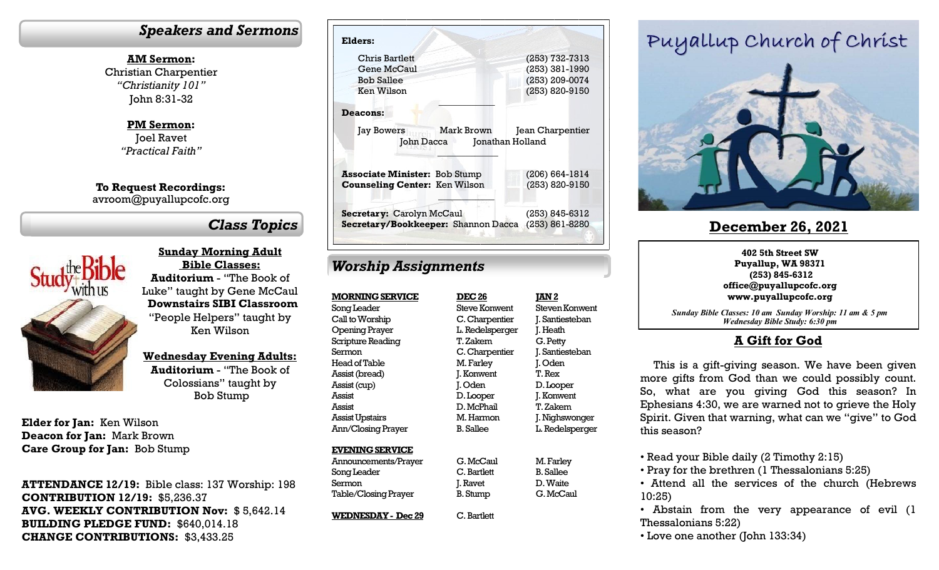### *Speakers and Sermons*

**AM Sermon:** Christian Charpentier *"Christianity 101"* John 8:31-32

> **PM Sermon:** Joel Ravet *"Practical Faith"*

**To Request Recordings:** avroom@puyallupcofc.org

#### $Class$  Topics



**Sunday Morning Adult Bible Classes: Auditorium** - "The Book of Luke" taught by Gene McCaul **Downstairs SIBI Classroom**  "People Helpers" taught by Ken Wilson

**Wednesday Evening Adults: Auditorium** - "The Book of Colossians" taught by Bob Stump

**Elder for Jan:** Ken Wilson **Deacon for Jan:** Mark Brown **Care Group for Jan:** Bob Stump

**ATTENDANCE 12/19:** Bible class: 137 Worship: 198 **CONTRIBUTION 12/19:** \$5,236.37 **AVG. WEEKLY CONTRIBUTION Nov:** \$ 5,642.14 **BUILDING PLEDGE FUND:** \$640,014.18 **CHANGE CONTRIBUTIONS:** \$3,433.25

| Elders:                                                    |                    |
|------------------------------------------------------------|--------------------|
| Chris Bartlett                                             | (253) 732-7313     |
| Gene McCaul                                                | $(253)$ 381-1990   |
| <b>Bob Sallee</b>                                          | (253) 209-0074     |
| Ken Wilson                                                 | (253) 820-9150     |
| <b>Deacons:</b>                                            |                    |
| Mark Brown<br>Jay Bowers<br>Jonathan Holland<br>John Dacca | Jean Charpentier   |
| <b>Associate Minister: Bob Stump</b>                       | $(206) 664 - 1814$ |
| <b>Counseling Center: Ken Wilson</b>                       | (253) 820-9150     |
| Secretary: Carolyn McCaul                                  | (253) 845-6312     |
| Secretary/Bookkeeper: Shannon Dacca (253) 861-8280         |                    |
|                                                            |                    |

## *Worship Assignments*

| <b>MORNING SERVICI</b> |
|------------------------|
| Song Leader            |
| Call to Worship        |
| Opening Prayer         |
| Scripture Reading      |
| Sermon                 |
| Head of Table          |
| Assist (bread)         |
| Assist (cup)           |
| Assist                 |
| Assist                 |
| <b>Assist Upstairs</b> |
| Ann/Closing Prayer     |
|                        |
| <b>EVENING SERVICE</b> |

| <b>EVENING SERVICE</b>      |                 |
|-----------------------------|-----------------|
| Announcements/Prayer        | G. McCaul       |
| Song Leader                 | C. Bartlett     |
| Sermon                      | J. Ravet        |
| <b>Table/Closing Prayer</b> | <b>B.</b> Stump |

**WEDNESDAY - Dec 29**

| <b>DEC 26</b>    | <u>JAN 2</u>    |
|------------------|-----------------|
| Steve Konwent    | Steven Konwent  |
| C. Charpentier   | J. Santiesteban |
| L. Redelsperger  | J. Heath        |
| T. Zakem         | G. Petty        |
| C. Charpentier   | J. Santiesteban |
| M. Farley        | J. Oden         |
| J. Konwent       | T. Rex          |
| J. Oden          | D. Looper       |
| D. Looper        | J. Konwent      |
| D. McPhail       | T. Zakem        |
| M. Harmon        | J. Nighswonger  |
| <b>B.</b> Sallee | L. Redelsperger |
|                  |                 |
|                  |                 |
| G. McCaul        | M. Farley       |

#### B. Sallee D. Waite G. McCaul

C. Bartlett

# Puyallup Church of Christ



## **December 26, 2021**

**402 5th Street SW Puyallup, WA 98371 (253) 845-6312 office@puyallupcofc.org www.puyallupcofc.org**

 *Sunday Bible Classes: 10 am Sunday Worship: 11 am & 5 pm Wednesday Bible Study: 6:30 pm*

#### **A Gift for God**

This is a gift-giving season. We have been given more gifts from God than we could possibly count. So, what are you giving God this season? In Ephesians 4:30, we are warned not to grieve the Holy Spirit. Given that warning, what can we "give" to God this season?

- Read your Bible daily (2 Timothy 2:15)
- Pray for the brethren (1 Thessalonians 5:25)
- Attend all the services of the church (Hebrews 10:25)
- Abstain from the very appearance of evil (1 Thessalonians 5:22)
- Love one another (John 133:34)